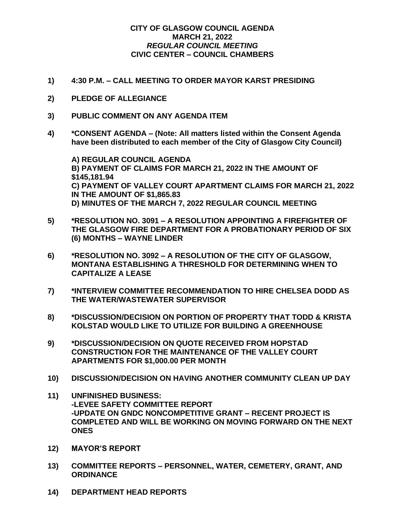## **CITY OF GLASGOW COUNCIL AGENDA MARCH 21, 2022** *REGULAR COUNCIL MEETING* **CIVIC CENTER – COUNCIL CHAMBERS**

- **1) 4:30 P.M. – CALL MEETING TO ORDER MAYOR KARST PRESIDING**
- **2) PLEDGE OF ALLEGIANCE**
- **3) PUBLIC COMMENT ON ANY AGENDA ITEM**
- **4) \*CONSENT AGENDA – (Note: All matters listed within the Consent Agenda have been distributed to each member of the City of Glasgow City Council)**

**A) REGULAR COUNCIL AGENDA B) PAYMENT OF CLAIMS FOR MARCH 21, 2022 IN THE AMOUNT OF \$145,181.94 C) PAYMENT OF VALLEY COURT APARTMENT CLAIMS FOR MARCH 21, 2022 IN THE AMOUNT OF \$1,865.83 D) MINUTES OF THE MARCH 7, 2022 REGULAR COUNCIL MEETING**

- **5) \*RESOLUTION NO. 3091 – A RESOLUTION APPOINTING A FIREFIGHTER OF THE GLASGOW FIRE DEPARTMENT FOR A PROBATIONARY PERIOD OF SIX (6) MONTHS – WAYNE LINDER**
- **6) \*RESOLUTION NO. 3092 – A RESOLUTION OF THE CITY OF GLASGOW, MONTANA ESTABLISHING A THRESHOLD FOR DETERMINING WHEN TO CAPITALIZE A LEASE**
- **7) \*INTERVIEW COMMITTEE RECOMMENDATION TO HIRE CHELSEA DODD AS THE WATER/WASTEWATER SUPERVISOR**
- **8) \*DISCUSSION/DECISION ON PORTION OF PROPERTY THAT TODD & KRISTA KOLSTAD WOULD LIKE TO UTILIZE FOR BUILDING A GREENHOUSE**
- **9) \*DISCUSSION/DECISION ON QUOTE RECEIVED FROM HOPSTAD CONSTRUCTION FOR THE MAINTENANCE OF THE VALLEY COURT APARTMENTS FOR \$1,000.00 PER MONTH**
- **10) DISCUSSION/DECISION ON HAVING ANOTHER COMMUNITY CLEAN UP DAY**
- **11) UNFINISHED BUSINESS: -LEVEE SAFETY COMMITTEE REPORT -UPDATE ON GNDC NONCOMPETITIVE GRANT – RECENT PROJECT IS COMPLETED AND WILL BE WORKING ON MOVING FORWARD ON THE NEXT ONES**
- **12) MAYOR'S REPORT**
- **13) COMMITTEE REPORTS – PERSONNEL, WATER, CEMETERY, GRANT, AND ORDINANCE**
- **14) DEPARTMENT HEAD REPORTS**